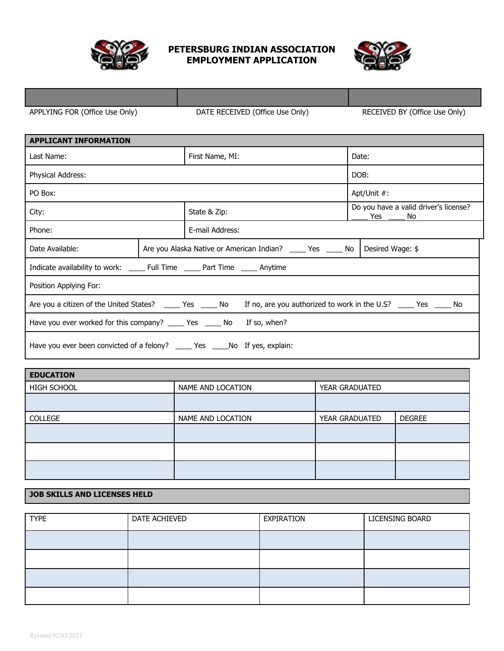

#### **PETERSBURG INDIAN ASSOCIATION EMPLOYMENT APPLICATION**



| APPLYING FOR (Office Use Only) | DATE RECEIVED (Office Use Only) |
|--------------------------------|---------------------------------|
|                                |                                 |

RECEIVED BY (Office Use Only)

| <b>APPLICANT INFORMATION</b>                                                                                                   |  |                 |                                                                  |                                                 |  |
|--------------------------------------------------------------------------------------------------------------------------------|--|-----------------|------------------------------------------------------------------|-------------------------------------------------|--|
| Last Name:                                                                                                                     |  | First Name, MI: |                                                                  | Date:                                           |  |
| Physical Address:                                                                                                              |  |                 |                                                                  | DOB:                                            |  |
| PO Box:                                                                                                                        |  | Apt/Unit #:     |                                                                  |                                                 |  |
| City:                                                                                                                          |  | State & Zip:    |                                                                  | Do you have a valid driver's license?<br>Yes No |  |
| Phone:                                                                                                                         |  | E-mail Address: |                                                                  |                                                 |  |
| Date Available:                                                                                                                |  |                 | Are you Alaska Native or American Indian? _______ Yes _______ No | Desired Wage: \$                                |  |
|                                                                                                                                |  |                 |                                                                  |                                                 |  |
| Position Applying For:                                                                                                         |  |                 |                                                                  |                                                 |  |
| Are you a citizen of the United States? ______ Yes ______ No If no, are you authorized to work in the U.S? _____ Yes ______ No |  |                 |                                                                  |                                                 |  |
| Have you ever worked for this company? _____ Yes _____ No<br>If so, when?                                                      |  |                 |                                                                  |                                                 |  |
| Have you ever been convicted of a felony? _____ Yes _____No If yes, explain:                                                   |  |                 |                                                                  |                                                 |  |

| <b>EDUCATION</b>   |                   |                |               |
|--------------------|-------------------|----------------|---------------|
| <b>HIGH SCHOOL</b> | NAME AND LOCATION | YEAR GRADUATED |               |
|                    |                   |                |               |
| <b>COLLEGE</b>     | NAME AND LOCATION | YEAR GRADUATED | <b>DEGREE</b> |
|                    |                   |                |               |
|                    |                   |                |               |
|                    |                   |                |               |

# **JOB SKILLS AND LICENSES HELD**

| <b>TYPE</b> | DATE ACHIEVED | <b>EXPIRATION</b> | <b>LICENSING BOARD</b> |
|-------------|---------------|-------------------|------------------------|
|             |               |                   |                        |
|             |               |                   |                        |
|             |               |                   |                        |
|             |               |                   |                        |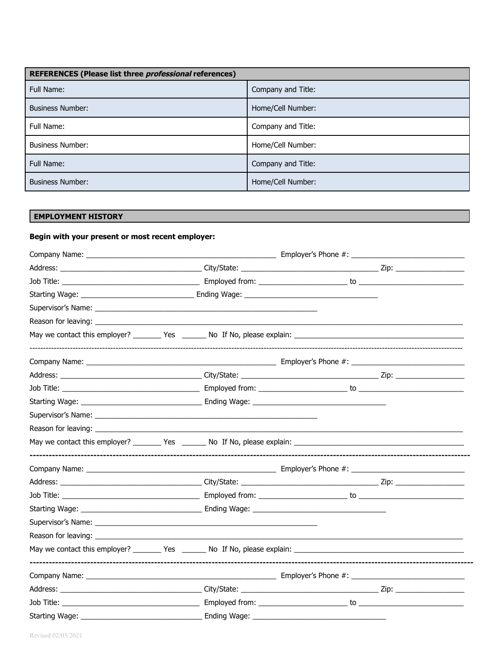| REFERENCES (Please list three <i>professional</i> references) |                    |  |  |
|---------------------------------------------------------------|--------------------|--|--|
| <b>Full Name:</b>                                             | Company and Title: |  |  |
| <b>Business Number:</b>                                       | Home/Cell Number:  |  |  |
| Full Name:                                                    | Company and Title: |  |  |
| <b>Business Number:</b>                                       | Home/Cell Number:  |  |  |
| Full Name:                                                    | Company and Title: |  |  |
| <b>Business Number:</b>                                       | Home/Cell Number:  |  |  |

# EMPLOYMENT HISTORY

# Begin with your present or most recent employer: